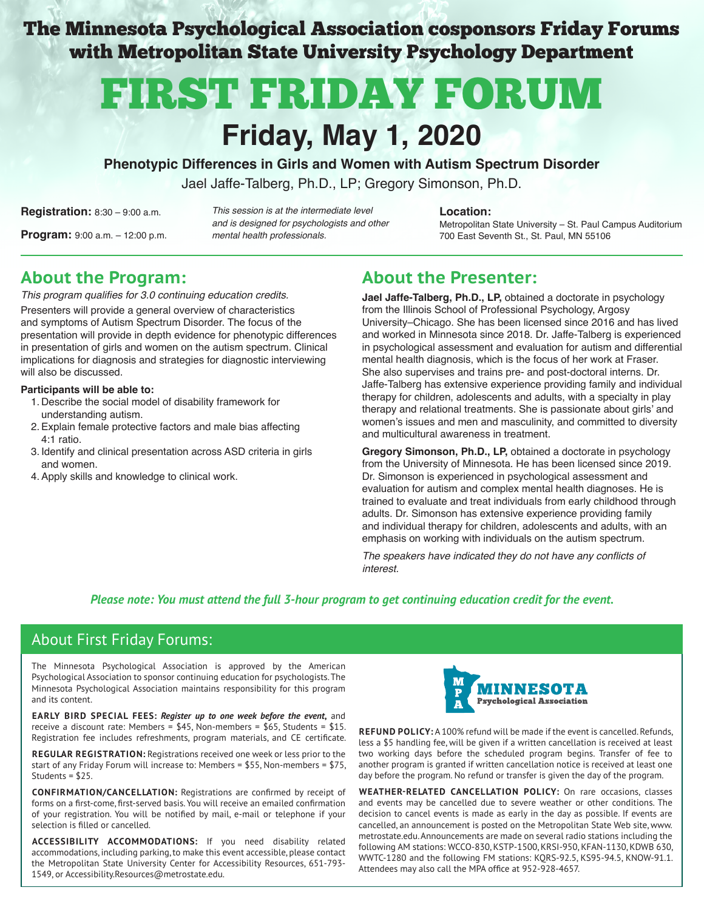The Minnesota Psychological Association cosponsors Friday Forums with Metropolitan State University Psychology Department

# FIRST FRIDAY FORUM

## **Friday, May 1, 2020**

**Phenotypic Differences in Girls and Women with Autism Spectrum Disorder**

Jael Jaffe-Talberg, Ph.D., LP; Gregory Simonson, Ph.D.

**Registration:** 8:30 – 9:00 a.m. **Location:** This session is at the intermediate level **Location: Program:** 9:00 a.m. – 12:00 p.m. The mental health professionals. The metal of the metal of the metal of the metal of the metal of the step of the metal of the metal health professionals. The metal of the metal of the met and is designed for psychologists and other mental health professionals.

Metropolitan State University – St. Paul Campus Auditorium

### **About the Program:**

This program qualifies for 3.0 continuing education credits. Presenters will provide a general overview of characteristics and symptoms of Autism Spectrum Disorder. The focus of the presentation will provide in depth evidence for phenotypic differences in presentation of girls and women on the autism spectrum. Clinical implications for diagnosis and strategies for diagnostic interviewing will also be discussed.

#### **Participants will be able to:**

- 1. Describe the social model of disability framework for understanding autism.
- 2.Explain female protective factors and male bias affecting 4:1 ratio.
- 3. Identify and clinical presentation across ASD criteria in girls and women.
- 4.Apply skills and knowledge to clinical work.

### **About the Presenter:**

**Jael Jaffe-Talberg, Ph.D., LP,** obtained a doctorate in psychology from the Illinois School of Professional Psychology, Argosy University–Chicago. She has been licensed since 2016 and has lived and worked in Minnesota since 2018. Dr. Jaffe-Talberg is experienced in psychological assessment and evaluation for autism and differential mental health diagnosis, which is the focus of her work at Fraser. She also supervises and trains pre- and post-doctoral interns. Dr. Jaffe-Talberg has extensive experience providing family and individual therapy for children, adolescents and adults, with a specialty in play therapy and relational treatments. She is passionate about girls' and women's issues and men and masculinity, and committed to diversity and multicultural awareness in treatment.

**Gregory Simonson, Ph.D., LP,** obtained a doctorate in psychology from the University of Minnesota. He has been licensed since 2019. Dr. Simonson is experienced in psychological assessment and evaluation for autism and complex mental health diagnoses. He is trained to evaluate and treat individuals from early childhood through adults. Dr. Simonson has extensive experience providing family and individual therapy for children, adolescents and adults, with an emphasis on working with individuals on the autism spectrum.

The speakers have indicated they do not have any conflicts of interest.

#### *Please note: You must attend the full 3-hour program to get continuing education credit for the event.*

### About First Friday Forums:

The Minnesota Psychological Association is approved by the American Psychological Association to sponsor continuing education for psychologists. The Minnesota Psychological Association maintains responsibility for this program and its content.

**EARLY BIRD SPECIAL FEES:** *Register up to one week before the event***,** and receive a discount rate: Members = \$45, Non-members = \$65, Students = \$15. Registration fee includes refreshments, program materials, and CE certificate.

**REGULAR REGISTRATION:** Registrations received one week or less prior to the start of any Friday Forum will increase to: Members = \$55, Non-members = \$75, Students = \$25.

**CONFIRMATION/CANCELLATION:** Registrations are confirmed by receipt of forms on a first-come, first-served basis. You will receive an emailed confirmation of your registration. You will be notified by mail, e-mail or telephone if your selection is filled or cancelled.

**ACCESSIBILITY ACCOMMODATIONS:** If you need disability related accommodations, including parking, to make this event accessible, please contact the Metropolitan State University Center for Accessibility Resources, 651-793- 1549, or Accessibility.Resources@metrostate.edu.



**REFUND POLICY:** A 100% refund will be made if the event is cancelled. Refunds, less a \$5 handling fee, will be given if a written cancellation is received at least two working days before the scheduled program begins. Transfer of fee to another program is granted if written cancellation notice is received at least one day before the program. No refund or transfer is given the day of the program.

**WEATHER-RELATED CANCELLATION POLICY:** On rare occasions, classes and events may be cancelled due to severe weather or other conditions. The decision to cancel events is made as early in the day as possible. If events are cancelled, an announcement is posted on the Metropolitan State Web site, www. metrostate.edu. Announcements are made on several radio stations including the following AM stations: WCCO-830, KSTP-1500, KRSI-950, KFAN-1130, KDWB 630, WWTC-1280 and the following FM stations: KQRS-92.5, KS95-94.5, KNOW-91.1. Attendees may also call the MPA office at 952-928-4657.